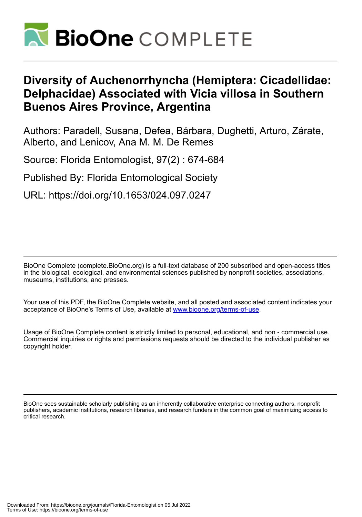

# **Diversity of Auchenorrhyncha (Hemiptera: Cicadellidae: Delphacidae) Associated with Vicia villosa in Southern Buenos Aires Province, Argentina**

Authors: Paradell, Susana, Defea, Bárbara, Dughetti, Arturo, Zárate, Alberto, and Lenicov, Ana M. M. De Remes

Source: Florida Entomologist, 97(2) : 674-684

Published By: Florida Entomological Society

URL: https://doi.org/10.1653/024.097.0247

BioOne Complete (complete.BioOne.org) is a full-text database of 200 subscribed and open-access titles in the biological, ecological, and environmental sciences published by nonprofit societies, associations, museums, institutions, and presses.

Your use of this PDF, the BioOne Complete website, and all posted and associated content indicates your acceptance of BioOne's Terms of Use, available at www.bioone.org/terms-of-use.

Usage of BioOne Complete content is strictly limited to personal, educational, and non - commercial use. Commercial inquiries or rights and permissions requests should be directed to the individual publisher as copyright holder.

BioOne sees sustainable scholarly publishing as an inherently collaborative enterprise connecting authors, nonprofit publishers, academic institutions, research libraries, and research funders in the common goal of maximizing access to critical research.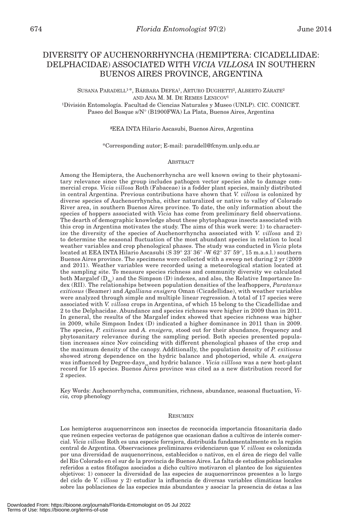# DIVERSITY OF AUCHENORRHYNCHA (HEMIPTERA: CICADELLIDAE: DELPHACIDAE) ASSOCIATED WITH *VICIA VILLOSA* IN SOUTHERN BUENOS AIRES PROVINCE, ARGENTINA

SUSANA PARADELL<sup>1\*</sup>, BÁRBARA DEFEA<sup>1</sup>, ARTURO DUGHETTI<sup>2</sup>, ALBERTO ZÁRATE<sup>2</sup> AND ANA  $M$ .  $M$ . DE REMES LENICOV<sup>1</sup>

<sup>1</sup>División Entomología. Facultad de Ciencias Naturales y Museo (UNLP). CIC. CONICET. Paseo del Bosque s/N° (B1900FWA) La Plata, Buenos Aires, Argentina

**²**EEA INTA Hilario Ascasubi, Buenos Aires, Argentina

\*Corresponding autor; E-mail: paradell@fcnym.unlp.edu.ar

#### **ABSTRACT**

Among the Hemiptera, the Auchenorrhyncha are well known owing to their phytosanitary relevance since the group includes pathogen vector species able to damage commercial crops. *Vicia villosa* Roth (Fabaceae) is a fodder plant species, mainly distributed in central Argentina. Previous contributions have shown that *V. villosa* is colonized by diverse species of Auchenorrhyncha, either naturalized or native to valley of Colorado River area, in southern Buenos Aires province. To date, the only information about the species of hoppers associated with *Vicia* has come from preliminary field observations. The dearth of demographic knowledge about these phytophagous insects associated with this crop in Argentina motivates the study. The aims of this work were: 1) to characterize the diversity of the species of Auchenorrhyncha associated with *V. villosa* and 2) to determine the seasonal fluctuation of the most abundant species in relation to local weather variables and crop phenological phases. The study was conducted in *Vicia* plots located at EEA INTA Hilario Ascasubi (S 39° 23' 36" -W 62° 37' 59", 15 m.a.s.l.) southern Buenos Aires province. The specimens were collected with a sweep net during 2 yr (2009 and 2011). Weather variables were recorded using a meteorological station located at the sampling site. To measure species richness and community diversity we calculated both Margalef ( $D_{Mg}$ ) and the Simpson (D) indexes, and also, the Relative Importance Index (RII). The relationships between population densities of the leafhoppers, *Paratanus exitiosus* (Beamer) and *Agalliana ensigera* Oman (Cicadellidae), with weather variables were analyzed through simple and multiple linear regression. A total of 17 species were associated with *V. villosa* crops in Argentina, of which 15 belong to the Cicadellidae and 2 to the Delphacidae. Abundance and species richness were higher in 2009 than in 2011. In general, the results of the Margalef index showed that species richness was higher in 2009, while Simpson Index (D) indicated a higher dominance in 2011 than in 2009. The species, *P. exitiosus* and *A. ensigera,* stood out for their abundance, frequency and phytosanitary relevance during the sampling period. Both species presented population increases since Nov coinciding with different phenological phases of the crop and the maximum density of the canopy. Additionally, the population density of *P. exitiosus* showed strong dependence on the hydric balance and photoperiod, while *A. ensigera* was influenced by Degree-days<sub>10</sub> and hydric balance . *Vicia villlosa* was a new host-plant record for 15 species. Buenos Aires province was cited as a new distribution record for 2 species.

Key Words: Auchenorrhyncha, communities, richness, abundance, seasonal fluctuation, *Vicia,* crop phenology

#### **RESUMEN**

Los hemipteros auquenorrincos son insectos de reconocida importancia fitosanitaria dado que reúnen especies vectoras de patógenos que ocasionan daños a cultivos de interés comercial. *Vicia villosa* Roth es una especie forrajera, distribuída fundamentalmente en la región central de Argentina. Observaciones preliminares evidenciaron que *V. villosa* es colonizada por una diversidad de auquenorrincos, establecidos o nativos, en el área de riego del valle del Río Colorado en el sur de la provincia de Buenos Aires. La falta de estudios poblacionales referidos a estos fitófagos asociados a dicho cultivo motivaron el planteo de los siguientes objetivos: 1) conocer la diversidad de las especies de auquenorrincos presentes a lo largo del ciclo de *V. villosa* y 2) estudiar la influencia de diversas variables climáticas locales sobre las poblaciones de las especies más abundantes y asociar la presencia de éstas a las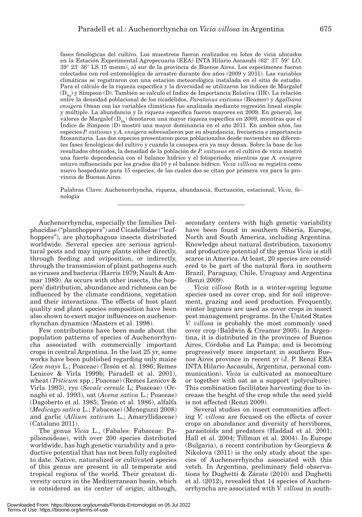fases fenológicas del cultivo. Los muestreos fueron realizados en lotes de vicia ubicados en la Estación Experimental Agropecuaria (EEA) INTA Hilario Ascasubi (62° 37' 59" LO, 39° 23' 36" LS 15 msnm), al sur de la provincia de Buenos Aires. Los especímenes fueron colectados con red entomológica de arrastre durante dos años (2009 y 2011). Las variables climáticas se registraron con una estación meteorológica instalada en el sitio de estudio. Para el cálculo de la riqueza específica y la diversidad se utilizaron los índices de Margalef  $(D_{Mg})$  y Simpson (D). También se calculó el Indice de Importancia Relativa (IIR). La relación entre la densidad poblacional de los cicadélidos, *Paratanus exitiosus* (Beamer) y *Agalliana ensigera* Oman con las variables climáticas fue analizada mediante regresión lineal simple y múltiple. La abundancia y la riqueza específica fueron mayores en 2009. En general, los valores de Margalef  $(D_{y})$  denotaron una mayor riqueza específica en 2009, mientras que el Índice de Simpson (D) mostró una mayor dominancia en el año 2011. En ambos años, las especies *P. exitiosus* y *A. ensigera* sobresalieron por su abundancia, frecuencia e importancia fitosanitaria. Las dos especies presentaron picos poblacionales desde noviembre en diferentes fases fenológicas del cultivo y cuando la canopea era ya muy densa. Sobre la base de los resultados obtenidos, la densidad de la población de *P. exitiosus* en el cultivo de vicia mostró una fuerte dependencia con el balance hídrico y el fotoperiodo; mientras que *A. ensigera* estuvo influenciada por los grados día10 y el balance hídrico. *Vicia villlosa* se registra como nuevo hospedante para 15 especies, de las cuales dos se citan por primera vez para la provincia de Buenos Aires.

Palabras Clave: Auchenorrhyncha, riqueza, abundancia, fluctuación, estacional, *Vicia,* fenología

Auchenorrhyncha, especially the families Delphacidae ("planthoppers") and Cicadellidae ("leafhoppers"), are phytophagous insects distributed worldwide. Several species are serious agricultural pests and may injure plants either directly, through feeding and oviposition, or indirectly, through the transmission of plant pathogens such as viruses and bacteria (Harris 1979; Nault & Ammar 1989). As occurs with other insects, the hoppers' distribution, abundance and richness can be influenced by the climate conditions, vegetation and their interactions. The effects of host plant quality and plant species composition have been also shown to exert major influences on auchenorrhynchan dynamics (Masters et al. 1998).

Few contributions have been made about the population patterns of species of Auchenorrhyncha associated with commercially important crops in central Argentina. In the last 25 yr, some works have been published regarding only maize (*Zea mays* L.; Poaceae) (Tesón et al. 1986; Remes Lenicov & Virla 1999b; Paradell et al. 2001), wheat (*Triticum* spp.; Poaceae) (Remes Lenicov & Virla 1993), rye (*Secale cereale* L; Poaceae) (Ornaghi et al. 1993), oat (*Avena sativa* L.; Poaceae) (Dagoberto et al. 1985; Tesón et al. 1986), alfalfa (*Medicago sativa* L.; Fabaceae) (Meneguzzi 2008) and garlic (*Allium sativum* L.; Amaryllidaceae) (Catalano 2011).

The genus *Vicia* L., (Fabales: Fabaceae: Papilionoideae), with over 200 species distributed worldwide, has high genetic variability and a productive potential that has not been fully exploited to date. Native, naturalized or cultivated species of this genus are present in all temperate and tropical regions of the world. Their greatest diversity occurs in the Mediterranean basin, which is considered as its center of origin; although, secondary centers with high genetic variability have been found in southern Siberia, Europe, North and South America, including Argentina. Knowledge about natural distribution, taxonomy and productive potential of the genus *Vicia* is still scarce in America. At least, 20 species are considered to be part of the natural flora in southern Brazil, Paraguay, Chile, Uruguay and Argentina (Renzi 2009).

*Vicia villosa* Roth is a winter-spring legume species used as cover crop, and for soil improvement, grazing and seed production. Frequently, winter legumes are used as cover crops in insect pest management programs. In the United States *V. villosa* is probably the most commonly used cover crop (Baldwin & Creamer 2005). In Argentina, it is distributed in the provinces of Buenos Aires, Córdoba and La Pampa; and is becoming progressively more important in southern Buenos Aires province in recent yr (J. P. Renzi EEA INTA Hilario Ascasubi, Argentina, personal communication). *Vicia* is cultivated as monoculture or together with oat as a support (polyculture). This combination facilitates harvesting due to increase the height of the crop while the seed yield is not affected (Renzi 2009).

Several studies on insect communities affecting *V. villosa* are focused on the effects of cover crops on abundance and diversity of hervibores, parasitoids and predators (Haddad et al. 2001; Hall et al. 2004; Tillman et al. 2004). In Europe (Bulgaria), a recent contribution by Georgieva & Nikolova (2011) is the only study about the species of Auchenorrhyncha associated with this vetch. In Argentina, preliminary field observations by Dughetti & Zárate (2010) and Dughetti et al. (2012), revealed that 14 species of Auchenorrhyncha are associated with *V. villosa* in south-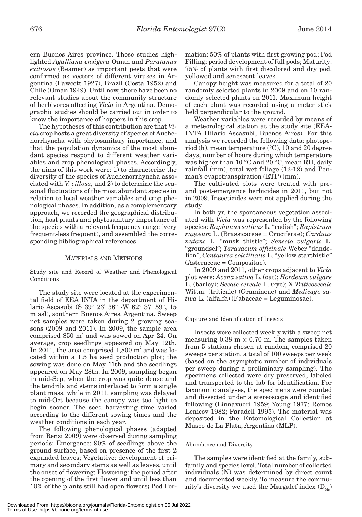ern Buenos Aires province. These studies highlighted *Agalliana ensigera* Oman and *Paratanus exitiosus* (Beamer) as important pests that were confirmed as vectors of different viruses in Argentina (Fawcett 1927), Brazil (Costa 1952) and Chile (Oman 1949). Until now, there have been no relevant studies about the community structure of herbivores affecting *Vicia* in Argentina. Demographic studies should be carried out in order to know the importance of hoppers in this crop.

The hypotheses of this contribution are that *Vicia* crop hosts a great diversity of species of Auchenorrhyncha with phytosanitary importance, and that the population dynamics of the most abundant species respond to different weather variables and crop phenological phases. Accordingly, the aims of this work were: 1) to characterize the diversity of the species of Auchenorrhyncha associated with *V. villosa,* and 2) to determine the seasonal fluctuations of the most abundant species in relation to local weather variables and crop phenological phases. In addition, as a complementary approach, we recorded the geographical distribution, host plants and phytosanitary importance of the species with a relevant frequency range (very frequent-less frequent), and assembled the corresponding bibliographical references.

# MATERIALS AND METHODS

Study site and Record of Weather and Phenological Conditions

The study site were located at the experimental field of EEA INTA in the department of Hilario Ascasubi (S 39° 23' 36" -W 62° 37' 59", 15 m asl), southern Buenos Aires, Argentina. Sweep net samples were taken during 2 growing seasons (2009 and 2011). In 2009, the sample area comprised 850 m<sup>2</sup> and was sowed on Apr 24. On average, crop seedlings appeared on May 12th. In 2011, the area comprised  $1,800$  m<sup>2</sup> and was located within a 1.5 ha seed production plot; the sowing was done on May 11th and the seedlings appeared on May 28th. In 2009, sampling began in mid-Sep, when the crop was quite dense and the tendrils and stems interlaced to form a single plant mass, while in 2011, sampling was delayed to mid-Oct because the canopy was too light to begin sooner. The seed harvesting time varied according to the different sowing times and the weather conditions in each year.

The following phenological phases (adapted from Renzi 2009) were observed during sampling periods: Emergence: 90% of seedlings above the ground surface, based on presence of the first 2 expanded leaves; Vegetative: development of primary and secondary stems as well as leaves, until the onset of flowering; Flowering: the period after the opening of the first flower and until less than 10% of the plants still had open flowers**;** Pod Formation: 50% of plants with first growing pod; Pod Filling: period development of full pods; Maturity: 75% of plants with first discolored and dry pod, yellowed and senescent leaves.

Canopy height was measured for a total of 20 randomly selected plants in 2009 and on 10 randomly selected plants on 2011. Maximum height of each plant was recorded using a meter stick held perpendicular to the ground.

Weather variables were recorded by means of a meteorological station at the study site (EEA-INTA Hilario Ascasubi, Buenos Aires). For this analysis we recorded the following data: photoperiod (h), mean temperature (°C), 10 and 20 degree days, number of hours during which temperature was higher than 10 °C and 20 °C, mean RH, daily rainfall (mm), total wet foliage (12-12) and Penman's evapotranspiration (ETP) (mm).

The cultivated plots were treated with preand post-emergence herbicides in 2011, but not in 2009. Insecticides were not applied during the study.

In both yr, the spontaneous vegetation associated with *Vicia* was represented by the following species: *Raphanus sativus* L. "radish"; *Rapistrum rugosum* L. (Brassicaceae = Cruciferae); *Carduus nutans* L. "musk thistle"; *Senecio vulgaris* L. "groundsel"; *Taraxacum officinale* Weber "dandelion"; *Centaurea solstitialis* L. "yellow starthistle" (Asteraceae = Compositae).

In 2009 and 2011, other crops adjacent to *Vicia* plot were: *Avena sativa* L*.* (oat); *Hordeum vulgare* L. (barley); *Secale cereale* L. (rye); X *Triticosecale* Wittm. (triticale) (Gramineae) and *Medicago sativa* L. (alfalfa) (Fabaceae = Leguminosae).

## Capture and Identification of Insects

Insects were collected weekly with a sweep net measuring  $0.38 \text{ m} \times 0.70 \text{ m}$ . The samples taken from 5 stations chosen at random, comprised 20 sweeps per station, a total of 100 sweeps per week (based on the asymptotic number of individuals per sweep during a preliminary sampling). The specimens collected were dry preserved, labeled and transported to the lab for identification. For taxonomic analyses, the specimens were counted and dissected under a stereoscope and identified following (Linnavuori 1959; Young 1977; Remes Lenicov 1982; Paradell 1995). The material was deposited in the Entomological Collection at Museo de La Plata, Argentina (MLP).

# Abundance and Diversity

The samples were identified at the family, subfamily and species level. Total number of collected individuals (N) was determined by direct count and documented weekly. To measure the community's diversity we used the Margalef index  $(D_{\text{Mg}})$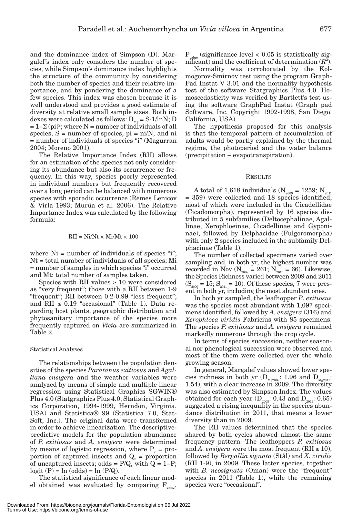and the dominance index of Simpson (D). Margalef's index only considers the number of species, while Simpson's dominance index highlights the structure of the community by considering both the number of species and their relative importance, and by pondering the dominance of a few species. This index was chosen because it is well understood and provides a good estimate of diversity at relative small sample sizes. Both indexes were calculated as follows:  $D_{Mg} = S-1/lnN; D$  $= 1-\Sigma$  (pi)<sup>2</sup>; where N = number of individuals of all species,  $S =$  number of species,  $pi = ni/N$ , and ni = number of individuals of species "i" (Magurran 2004; Moreno 2001).

The Relative Importance Index (RII) allows for an estimation of the species not only considering its abundance but also its occurrence or frequency. In this way, species poorly represented in individual numbers but frequently recovered over a long period can be balanced with numerous species with sporadic occurrence (Remes Lenicov & Virla 1993; Murúa et al. 2006). The Relative Importance Index was calculated by the following formula:

### $RII = Ni/Nt \times Mi/Mt \times 100$

where  $Ni = number of individuals of species "i"$ ; Nt = total number of individuals of all species; Mi = number of samples in which species "i" occurred and Mt: total number of samples taken.

Species with RII values  $\geq 10$  were considered as "very frequent"; those with a RII between 1-9 "frequent"; RII between 0.2-0.99 "less frequent"; and RII  $\leq 0.19$  "occasional" (Table 1). Data regarding host plants, geographic distribution and phytosanitary importance of the species more frequently captured on *Vicia* are summarized in Table 2.

#### Statistical Analyses

The relationships between the population densities of the species *Paratanus exitiosus* and *Agalliana ensigera* and the weather variables were analyzed by means of simple and multiple linear regression using Statistical Graphics SGWIN® Plus 4.0 (Statgraphics Plus 4.0; Statistical Graphics Corporation, 1994-1999, Herndon, Virginia, USA) and Statistica® 99 (Statistica 7.0, Stat-Soft, Inc.). The original data were transformed in order to achieve linearization. The descriptivepredictive models for the population abundance of *P. exitiosus* and *A. ensigera* were determined by means of logistic regression, where  $P_x = pro$ portion of captured insects and  $Q_x$  = proportion of uncaptured insects; odds =  $P/Q$ , with  $Q = 1-P$ ;  $logit(P) = ln (odds) = ln (P/Q).$ 

The statistical significance of each linear model obtained was evaluated by comparing  $F_{\text{value}}$ 

 $P_{value}$  (significance level < 0.05 is statistically significant) and the coefficient of determination  $(R^2)$ .

Normality was corroborated by the Kolmogorov-Smirnov test using the program Graph-Pad Instat V 3.01 and the normality hypothesis test of the software Statgraphics Plus 4.0. Homoscedasticity was verified by Bartlett's test using the software GraphPad Instat (Graph pad Software, Inc, Copyright 1992-1998, San Diego. California, USA).

The hypothesis proposed for this analysis is that the temporal pattern of accumulation of adults would be partly explained by the thermal regime, the photoperiod and the water balance (precipitation – evapotranspiration).

#### **RESULTS**

A total of 1,618 individuals ( $N_{2009} = 1259$ ;  $N_{2011}$ = 359) were collected and 18 species identified; most of which were included in the Cicadellidae (Cicadomorpha), represented by 16 species distributed in 5 subfamilies (Deltocephalinae, Agallinae, Xerophloeinae, Cicadellinae and Gyponinae), followed by Delphacidae (Fulgoromorpha) with only 2 species included in the subfamily Delphacinae (Table 1).

The number of collected specimens varied over sampling and, in both yr, the highest number was recorded in Nov ( $N_{2009} = 261$ ;  $N_{2011} = 66$ ). Likewise, the Species Richness varied between 2009 and 2011  $(S_{2009} = 15; S_{2011} = 10)$ . Of these species, 7 were present in both yr, including the most abundant ones.

In both yr sampled, the leafhopper *P*. *exitiosus* was the species most abundant with 1,097 specimens identified, followed by *A. ensigera* (316) and *Xerophloea viridis* Fabricius with 85 specimens. The species *P. exitiosus* and *A. ensigera* remained markedly numerous through the crop cycle.

In terms of species succession, neither seasonal nor phenological succession were observed and most of the them were collected over the whole growing season.

In general, Margalef values showed lower species richness in both yr  $(D_{Mg2009}: 1.96$  and  $D_{Mg2011}:$ 1.54), with a clear increase in 2009. The diversity was also estimated by Simpson Index. The values obtained for each year  $(D_{2009}: 0.43$  and  $D_{2011}: 0.65)$ suggested a rising inequality in the species abundance distribution in 2011, that means a lower diversity than in 2009.

The RII values determined that the species shared by both cycles showed almost the same frequency pattern. The leafhoppers *P. exitiosus* and *A. ensigera* were the most frequent (RII  $\geq 10$ ), followed by *Bergallia signata* (Stål) and *X. viridis* (RII 1-9), in 2009. These latter species, together with *B. neosignata* (Oman) were the "frequent" species in 2011 (Table 1), while the remaining species were "occasional".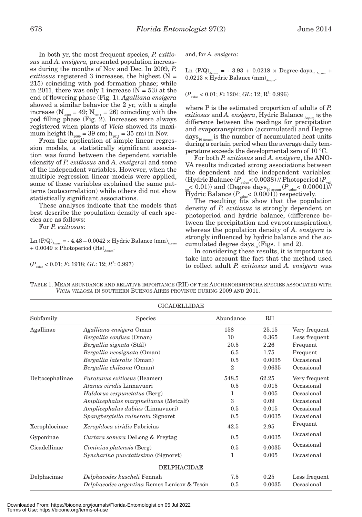In both yr, the most frequent species, *P. exitiosus* and *A. ensigera,* presented population increases during the months of Nov and Dec. In 2009, *P. exitiosus* registered 3 increases, the highest (N = 215) coinciding with pod formation phase; while in 2011, there was only 1 increase  $(N = 53)$  at the end of flowering phase (Fig. 1). *Agalliana ensigera* showed a similar behavior the 2 yr, with a single increase ( $N_{2009} = 49$ ;  $N_{2011} = 26$ ) coinciding with the pod filling phase (Fig. 2). Increases were always registered when plants of *Vicia* showed its maximum height ( $h_{2009} = 39$  cm;  $h_{2011} = 35$  cm) in Nov.

From the application of simple linear regression models, a statistically significant association was found between the dependent variable (density of *P. exitiosus* and *A. ensigera*) and some of the independent variables. However, when the multiple regression linear models were applied, some of these variables explained the same patterns (autocorrelation) while others did not show statistically significant associations.

These analyses indicate that the models that best describe the population density of each species are as follows:

For *P. exitiosus*:

 $\text{Ln} \left( \text{P/Q} \right)_{\text{Accum}} = -4.48 - 0.0042 \times \text{Hydric Balance (mm)}_{\text{Accum}}$  $+ 0.0049 \times \text{Photoperiod (Hs)}$ .

$$
(P_{\hbox{\tiny value}}<0.01;F;1918; \, GL;12; R^2; \,0.997)
$$

and, for *A. ensigera*:

Ln  $(P/Q)_{\text{Accum}}$  = - 3.93 + 0.0218  $\times$  Degree-days<sub>10 Accum</sub> +  $0.0213 \times$  Hydric Balance (mm)<sub>Accum</sub>.

(*P*value < 0.01; *F***:** 1204; *GL*: 12; R2 : 0.996)

where P is the estimated proportion of adults of *P. exitiosus* and *A. ensigera*, Hydric Balance <sub>Accum</sub> is the difference between the readings for precipitation and evapotranspiration (accumulated) and Degree days<sub>10</sub> Accum is the number of accumulated heat units during a certain period when the average daily temperature exceeds the developmental zero of 10 °C.

For both *P. exitiosus* and *A. ensigera*, the ANO-VA results indicated strong associations between the dependent and the independent variables: (Hydric Balance  $(P_{value} < 0.0038)$  // Photoperiod  $(P_{value} < 0.0038)$  $_{\text{ue}}$ < 0.01)) and (Degree days<sub>10 accum</sub> ( $P_{\text{value}}$ < 0.00001)// Hydric Balance  $(P_{value} < 0.0001)$  respectively.

The resulting fits show that the population density of *P. exitiosus* is strongly dependent on photoperiod and hydric balance, (difference between the precipitation and evapotranspiration); whereas the population density of *A. ensigera* is strongly influenced by hydric balance and the accumulated degree days $_{10}$  (Figs. 1 and 2).

In considering these results, it is important to take into account the fact that the method used to collect adult *P. exitiosus* and *A. ensigera* was

TABLE 1. MEAN ABUNDANCE AND RELATIVE IMPORTANCE (RII) OF THE AUCHENORRHYNCHA SPECIES ASSOCIATED WITH *VICIA VILLOSA* IN SOUTHERN BUENOS AIRES PROVINCE DURING 2009 AND 2011.

| <b>CICADELLIDAE</b> |                                             |                |            |               |  |
|---------------------|---------------------------------------------|----------------|------------|---------------|--|
| Subfamily           | Species                                     | Abundance      | <b>RII</b> |               |  |
| Agallinae           | Agalliana ensigera Oman                     | 158            | 25.15      | Very frequent |  |
|                     | Bergallia confusa (Oman)                    | 10             | 0.365      | Less frequent |  |
|                     | Bergallia signata (Stål)                    | 20.5           | 2.26       | Frequent      |  |
|                     | Bergallia neosignata (Oman)                 | 6.5            | 1.75       | Frequent      |  |
|                     | Bergallia lateralis (Oman)                  | 0.5            | 0.0035     | Occasional    |  |
|                     | Bergallia chileana (Oman)                   | $\overline{2}$ | 0.0635     | Occasional    |  |
| Deltocephalinae     | Paratanus exitiosus (Beamer)                | 548.5          | 62.25      | Very frequent |  |
|                     | Atanus viridis Linnavuori                   | 0.5            | 0.015      | Occasional    |  |
|                     | <i>Haldorus sexpunctatus</i> (Berg)         | 1              | 0.005      | Occasional    |  |
|                     | Amplicephalus marginellanus (Metcalf)       | 3              | 0.09       | Occasional    |  |
|                     | Amplicephalus dubius (Linnavuori)           | 0.5            | 0.015      | Occasional    |  |
|                     | Spangbergiella vulnerata Signoret           | 0.5            | 0.0035     | Occasional    |  |
| Xerophloeinae       | Xerophloea viridis Fabricius                | 42.5           | 2.95       | Frequent      |  |
| Gyponinae           | Curtara samera DeLong & Freytag             | 0.5            | 0.0035     | Occasional    |  |
| Cicadellinae        | Ciminius platensis (Berg)                   | 0.5            | 0.0035     | Occasional    |  |
|                     | Syncharina punctatissima (Signoret)         | 1              | 0.005      | Occasional    |  |
|                     | <b>DELPHACIDAE</b>                          |                |            |               |  |
| Delphacinae         | Delphacodes kuscheli Fennah                 | 7.5            | 0.25       | Less frequent |  |
|                     | Delphacodes argentina Remes Lenicov & Tesón | 0.5            | 0.0035     | Occasional    |  |

Downloaded From: https://bioone.org/journals/Florida-Entomologist on 05 Jul 2022 Terms of Use: https://bioone.org/terms-of-use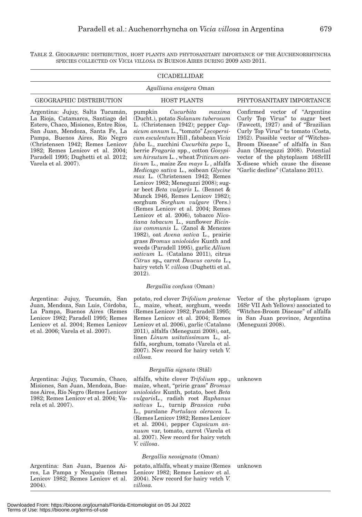TABLE 2. GEOGRAPHIC DISTRIBUTION, HOST PLANTS AND PHYTOSANITARY IMPORTANCE OF THE AUCHENORRHYNCHA SPECIES COLLECTED ON *VICIA VILLOSA* IN BUENOS AIRES DURING 2009 AND 2011.

|                                                                                                                                                                                                                                                                                                                            | CICADELLIDAE                                                                                                                                                                                                                                                                                                                                                                                                                                                                                                                                                                                                                                                                                                                                                                                                                                                                                                                                                                                                                                                               |                                                                                                                                                                                                                                                                                                                                                                           |
|----------------------------------------------------------------------------------------------------------------------------------------------------------------------------------------------------------------------------------------------------------------------------------------------------------------------------|----------------------------------------------------------------------------------------------------------------------------------------------------------------------------------------------------------------------------------------------------------------------------------------------------------------------------------------------------------------------------------------------------------------------------------------------------------------------------------------------------------------------------------------------------------------------------------------------------------------------------------------------------------------------------------------------------------------------------------------------------------------------------------------------------------------------------------------------------------------------------------------------------------------------------------------------------------------------------------------------------------------------------------------------------------------------------|---------------------------------------------------------------------------------------------------------------------------------------------------------------------------------------------------------------------------------------------------------------------------------------------------------------------------------------------------------------------------|
|                                                                                                                                                                                                                                                                                                                            | <i>Agalliana ensigera</i> Oman                                                                                                                                                                                                                                                                                                                                                                                                                                                                                                                                                                                                                                                                                                                                                                                                                                                                                                                                                                                                                                             |                                                                                                                                                                                                                                                                                                                                                                           |
| <b>GEOGRAPHIC DISTRIBUTION</b>                                                                                                                                                                                                                                                                                             | <b>HOST PLANTS</b>                                                                                                                                                                                                                                                                                                                                                                                                                                                                                                                                                                                                                                                                                                                                                                                                                                                                                                                                                                                                                                                         | PHYTOSANITARY IMPORTANCE                                                                                                                                                                                                                                                                                                                                                  |
| Argentina: Jujuy, Salta Tucumán,<br>La Rioja, Catamarca, Santiago del<br>Estero, Chaco, Misiones, Entre Ríos,<br>San Juan, Mendoza, Santa Fe, La<br>Pampa, Buenos Aires, Río Negro<br>(Christensen 1942; Remes Lenicov<br>1982; Remes Lenicov et al. 2004;<br>Paradell 1995; Dughetti et al. 2012;<br>Varela et al. 2007). | pumpkin<br>Cucurbita<br>maxima<br>(Ducht.), potato Solanum tuberosum<br>L. (Christensen 1942); pepper $Cap$ -<br>sicum annum L., "tomato" Lycopersi-<br>cum esculentum Hill, fababean Vicia<br><i>faba L., zucchini Cucurbita pepo L.</i><br>berrie Fragaria spp., cotton Gosypi-<br>um hirsutum L., wheat Triticum aes-<br><i>tivum L.</i> , maize Zea mays L, alfalfa<br>Medicago sativa L., soibean Glycine<br><i>max</i> L. (Christensen 1942; Remes<br>Lenicov 1982; Meneguzzi 2008); sug-<br>ar beet <i>Beta vulgaris</i> L. (Bennet &<br>Munck 1946, Remes Lenicov 1982);<br>sorghum Sorghum vulgare (Pers.)<br>(Remes Lenicov et al. 2004; Remes<br>Lenicov et al. 2006), tobacco Nico-<br><i>tiana tabacum</i> L., sunflower <i>Ricin-</i><br><i>ius communis</i> L. (Zanol & Menezes<br>1982), oat Avena sativa L., prairie<br>grass <i>Bromus unioloides</i> Kunth and<br>weeds (Paradell 1995), garlic <i>Allium</i><br>sativum L. (Catalano 2011), citrus<br>Citrus sp., carrot Daucus carota L.,<br>hairy vetch <i>V. villosa</i> (Dughetti et al.<br>2012). | Confirmed vector of "Argentine"<br>Curly Top Virus" to sugar beet<br>(Fawcett, 1927) and of "Brazilian"<br>Curly Top Virus" to tomato (Costa,<br>1952). Possible vector of "Witches-<br>Broom Disease" of alfalfa in San<br>Juan (Meneguzzi 2008). Potential<br>vector of the phytoplasm 16SrIII<br>X-disese which cause the disease<br>"Garlic decline" (Catalano 2011). |
|                                                                                                                                                                                                                                                                                                                            | Bergallia confusa (Oman)                                                                                                                                                                                                                                                                                                                                                                                                                                                                                                                                                                                                                                                                                                                                                                                                                                                                                                                                                                                                                                                   |                                                                                                                                                                                                                                                                                                                                                                           |
| Argentina: Jujuy, Tucumán, San<br>Juan, Mendoza, San Luis, Córdoba,<br>La Pampa, Buenos Aires (Remes<br>Lenicov 1982; Paradell 1995; Remes<br>Lenicov et al. 2004; Remes Lenicov<br>et al. 2006; Varela et al. 2007).                                                                                                      | potato, red clover Trifolium pratense<br>L., maize, wheat, sorghum, weeds<br>(Remes Lenicov 1982; Paradell 1995;<br>Remes Lenicov et al. 2004; Remes<br>Lenicov et al. 2006), garlic (Catalano<br>2011), alfalfa (Meneguzzi 2008), oat,<br>linen Linum usitatissimum L., al-<br>falfa, sorghum, tomato (Varela et al.<br>2007). New record for hairy vetch V.<br>villosa.                                                                                                                                                                                                                                                                                                                                                                                                                                                                                                                                                                                                                                                                                                  | Vector of the phytoplasm (grupo<br>16Sr VII Ash Yellows) associated to<br>"Witches-Broom Disease" of alfalfa<br>in San Juan province, Argentina<br>(Meneguzzi 2008).                                                                                                                                                                                                      |
|                                                                                                                                                                                                                                                                                                                            | <i>Bergallia signata</i> (Stål)                                                                                                                                                                                                                                                                                                                                                                                                                                                                                                                                                                                                                                                                                                                                                                                                                                                                                                                                                                                                                                            |                                                                                                                                                                                                                                                                                                                                                                           |
| Argentina: Jujuy, Tucumán, Chaco,<br>Misiones, San Juan, Mendoza, Bue-<br>nos Aires, Río Negro (Remes Lenicov<br>1982; Remes Lenicov et al. 2004; Va-<br>rela et al. 2007).                                                                                                                                                | alfalfa, white clover Trifolium spp.,<br>maize, wheat, "pririe grass" Bromus<br>unioloides Kunth, potato, beet Beta<br>vulgarisL., radish root Raphanus<br>sativus L., turnip Brassica raba<br>L., purslane Portulaca oleracea L.<br>(Remes Lenicov 1982; Remes Lenicov<br>et al. 2004), pepper Capsicum an-<br>nuum var, tomato, carrot (Varela et<br>al. 2007). New record for hairy vetch<br>V. villosa.                                                                                                                                                                                                                                                                                                                                                                                                                                                                                                                                                                                                                                                                | unknown                                                                                                                                                                                                                                                                                                                                                                   |
|                                                                                                                                                                                                                                                                                                                            | Bergallia neosignata (Oman)                                                                                                                                                                                                                                                                                                                                                                                                                                                                                                                                                                                                                                                                                                                                                                                                                                                                                                                                                                                                                                                |                                                                                                                                                                                                                                                                                                                                                                           |

Argentina: San Juan, Buenos Aires, La Pampa y Neuquén (Remes Lenicov 1982; Remes Lenicov et al. 2004).

L, Ĭ.

> potato, alfalfa, wheat y maize (Remes unknown Lenicov 1982; Remes Lenicov et al. 2004). New record for hairy vetch *V. villosa.*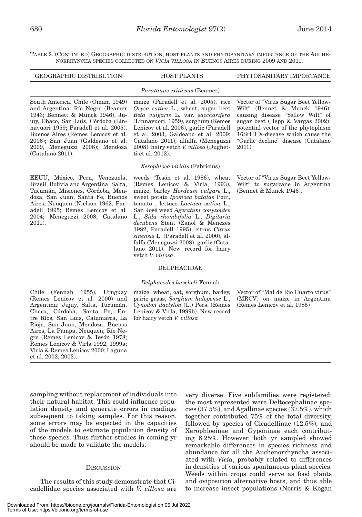TABLE 2. (CONTINUED) GEOGRAPHIC DISTRIBUTION, HOST PLANTS AND PHYTOSANITARY IMPORTANCE OF THE AUCHE-NORRHYNCHA SPECIES COLLECTED ON *VICIA VILLOSA* IN BUENOS AIRES DURING 2009 AND 2011.

| <b>GEOGRAPHIC DISTRIBUTION</b>                                                                                                                                                                                                                                                                                              | <b>HOST PLANTS</b>                                                                                                                                                                                                                                                                                                                                                                                                                                                                            | PHYTOSANITARY IMPORTANCE                                                                                                                                                                                                                                                     |
|-----------------------------------------------------------------------------------------------------------------------------------------------------------------------------------------------------------------------------------------------------------------------------------------------------------------------------|-----------------------------------------------------------------------------------------------------------------------------------------------------------------------------------------------------------------------------------------------------------------------------------------------------------------------------------------------------------------------------------------------------------------------------------------------------------------------------------------------|------------------------------------------------------------------------------------------------------------------------------------------------------------------------------------------------------------------------------------------------------------------------------|
|                                                                                                                                                                                                                                                                                                                             | <i>Paratanus exitiosus</i> (Beamer)                                                                                                                                                                                                                                                                                                                                                                                                                                                           |                                                                                                                                                                                                                                                                              |
| South America. Chile (Oman, 1949)<br>and Argentina: Río Negro (Beamer<br>1943; Bennett & Munck 1946), Ju-<br>juy, Chaco, San Luis, Córdoba (Lin-<br>navuori 1959; Paradell et al. 2005),<br>Buenos Aires (Remes Lenicov et al.<br>2006); San Juan (Galdeano et al.<br>2009, Meneguzzi 2008); Mendoza<br>$(Catalano 2011)$ . | maize (Paradell et al. 2005), rice<br>Oryza sativa L., wheat, sugar beet<br>Beta vulgaris L. var. saccharifera<br>(Linnavuori, 1959), sorghum (Remes<br>Lenicov et al. 2006), garlic (Paradell<br>et al. 2003, Galdeano et al. 2009;<br>Catalano 2011), alfalfa (Meneguzzi<br>2008), hairy vetch V. villosa (Dughet-<br>ti et al. 2012).                                                                                                                                                      | Vector of "Virus Sugar Beet Yellow-<br>Wilt" (Bennet & Munck 1946),<br>causing disease "Yellow Wilt" of<br>sugar beet (Hepp $& Vargas 2002$ );<br>potential vector of the phytoplasm<br>16SrIII X-disease which cause the<br>"Garlic decline" disease (Catalano<br>$2011$ ). |
|                                                                                                                                                                                                                                                                                                                             | Xerophloea viridis (Fabricius)                                                                                                                                                                                                                                                                                                                                                                                                                                                                |                                                                                                                                                                                                                                                                              |
| EEUU, México, Perú, Venezuela,<br>Brasil, Bolivia and Argentina: Salta,<br>Tucumán, Misiones, Córdoba, Men-<br>doza, San Juan, Santa Fe, Buenos<br>Aires, Neuquén (Nielson 1962; Par-<br>adell 1995; Remes Lenicov et al.<br>2004; Meneguzzi 2008; Catalano<br>$2011$ ).                                                    | weeds (Tesón et al. 1986), wheat<br>(Remes Lenicov & Virla, 1993),<br>maize, barley <i>Hordeum vulgare</i> L.,<br>sweet potato Ipomoea batatas Poir.,<br>tomato, lettuce Lactuca sativa L.,<br>San José weed Ageratum conyzoides<br>L., Sida rhombifolia L., Digitaria<br>decubens Stent (Zanol & Menezes<br>1982; Paradell 1995), citrus Citrus<br>sinensis L. (Paradell et al. 2000), al-<br>falfa (Meneguzzi 2008), garlic (Cata-<br>lano 2011). New record for hairy<br>vetch V. villosa. | Vector of "Virus Sugar Beet Yellow-<br>Wilt" to sugarcane in Argentina<br>(Bennet & Munck 1946).                                                                                                                                                                             |
|                                                                                                                                                                                                                                                                                                                             | <b>DELPHACIDAE</b>                                                                                                                                                                                                                                                                                                                                                                                                                                                                            |                                                                                                                                                                                                                                                                              |
|                                                                                                                                                                                                                                                                                                                             | Delphacodes kuscheli Fennah                                                                                                                                                                                                                                                                                                                                                                                                                                                                   |                                                                                                                                                                                                                                                                              |
| Chile<br>1955), Uruguay<br>(Fennah<br>(Remes Lenicov et al. 2000) and<br>Argentina: Jujuy, Salta, Tucumán,<br>Chaco, Córdoba, Santa Fe, En-<br>tre Ríos, San Luis, Catamarca, La<br>Rioja, San Juan, Mendoza, Buenos<br>Aires, La Pampa, Neuguén, Río Ne-                                                                   | maize, wheat, oat, sorghum, barley,<br>pririe grass, Sorghum halepense L.,<br>Cynodon dactylon (L.) Pers. (Remes<br>Lenicov & Virla, 1999b). New record<br>for hairy vetch V. villosa                                                                                                                                                                                                                                                                                                         | Vector of "Mal de Rio Cuarto virus"<br>(MRCV) on maize in Argentina<br>(Remes Lenicov et al. 1985)                                                                                                                                                                           |

sampling without replacement of individuals into their natural habitat. This could influence population density and generate errors in readings subsequent to taking samples. For this reason, some errors may be expected in the capacities of the models to estimate population density of these species. Thus further studies in coming yr should be made to validate the models.

gro (Remes Lenicov & Tesón 1978; Remes Lenicov & Virla 1992, 1999a; Virla & Remes Lenicov 2000; Laguna

et al. 2002, 2003).

# **DISCUSSION**

 The results of this study demonstrate that Cicadellidae species associated with *V. villosa* are

very diverse. Five subfamilies were registered: the most represented were Deltocephalinae species (37.5%), and Agallinae species (37.5%), which together contributed 75% of the total diversity, followed by species of Cicadellinae (12.5%), and Xerophloeinae and Gyponinae each contributing 6.25%. However, both yr sampled showed remarkable differences in species richness and abundance for all the Auchenorrhyncha associated with *Vicia*, probably related to differences in densities of various spontaneous plant species. Weeds within crops could serve as food plants and oviposition alternative hosts, and thus able to increase insect populations (Norris & Kogan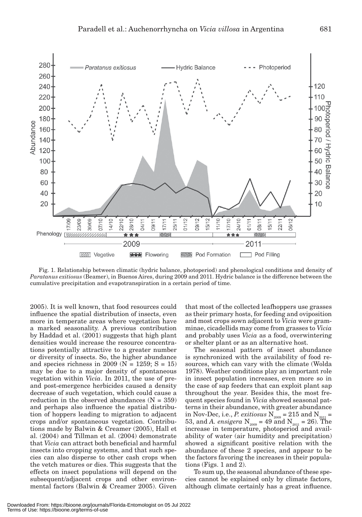

Fig. 1. Relationship between climatic (hydric balance, photoperiod) and phenological conditions and density of *Paratanus exitiosus* (Beamer), in Buenos Aires, during 2009 and 2011. Hydric balance is the difference between the cumulative precipitation and evapotranspiration in a certain period of time.

2005). It is well known, that food resources could influence the spatial distribution of insects, even more in temperate areas where vegetation have a marked seasonality. A previous contribution by Haddad et al. (2001) suggests that high plant densities would increase the resource concentrations potentially attractive to a greater number or diversity of insects. So, the higher abundance and species richness in 2009 ( $N = 1259$ ; S = 15) may be due to a major density of spontaneous vegetation within *Vicia*. In 2011, the use of preand post-emergence herbicides caused a density decrease of such vegetation, which could cause a reduction in the observed abundances  $(N = 359)$ and perhaps also influence the spatial distribution of hoppers leading to migration to adjacent crops and/or spontaneous vegetation. Contributions made by Balwin & Creamer (2005), Hall et al. (2004) and Tillman et al. (2004) demonstrate that *Vicia* can attract both beneficial and harmful insects into cropping systems, and that such species can also disperse to other cash crops when the vetch matures or dies. This suggests that the effects on insect populations will depend on the subsequent/adjacent crops and other environmental factors (Balwin & Creamer 2005). Given that most of the collected leafhoppers use grasses as their primary hosts, for feeding and oviposition and most crops sown adjacent to *Vicia* were gramminae, cicadellids may come from grasses to *Vicia* and probably uses *Vicia* as a food, overwintering or shelter plant or as an alternative host.

The seasonal pattern of insect abundance is synchronized with the availability of food resources, which can vary with the climate (Wolda 1978). Weather conditions play an important role in insect population increases, even more so in the case of sap feeders that can exploit plant sap throughout the year. Besides this, the most frequent species found in *Vicia* showed seasonal patterns in their abundance, with greater abundance in Nov-Dec, i.e., *P. exitiosus*  $N_{2009} = 215$  and  $N_{2011} =$ 53, and *A. ensigera*  $N_{2009} = 49$  and  $N_{2011} = 26$ ). The increase in temperature, photoperiod and availability of water (air humidity and precipitation) showed a significant positive relation with the abundance of these 2 species, and appear to be the factors favoring the increases in their populations (Figs. 1 and 2).

To sum up, the seasonal abundance of these species cannot be explained only by climate factors, although climate certainly has a great influence.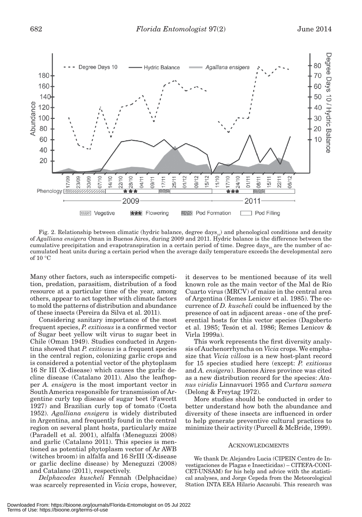

Fig. 2. Relationship between climatic (hydric balance, degree days<sub>00</sub>) and phenological conditions and density of *Agalliana ensigera* Oman in Buenos Aires, during 2009 and 2011. Hydric balance is the difference between the cumulative precipitation and evapotranspiration in a certain period of time. Degree days<sub>10</sub> are the number of accumulated heat units during a certain period when the average daily temperature exceeds the developmental zero of 10 °C

Many other factors, such as interspecific competition, predation, parasitism, distribution of a food resource at a particular time of the year, among others, appear to act together with climate factors to mold the patterns of distribution and abundance of these insects (Pereira da Silva et al. 2011).

Considering sanitary importance of the most frequent species, *P. exitiosus* is a confirmed vector of Sugar beet yellow wilt virus to sugar beet in Chile (Oman 1949). Studies conducted in Argentina showed that *P. exitiosus* is a frequent species in the central region, colonizing garlic crops and is considered a potential vector of the phytoplasm 16 Sr III (X-disease) which causes the garlic decline disease (Catalano 2011). Also the leafhopper *A. ensigera* is the most important vector in South America responsible for transmission of Argentine curly top disease of sugar beet (Fawcett 1927) and Brazilian curly top of tomato (Costa 1952). *Agalliana ensigera* is widely distributed in Argentina, and frequently found in the central region on several plant hosts, particularly maize (Paradell et al. 2001), alfalfa (Meneguzzi 2008) and garlic (Catalano 2011). This species is mentioned as potential phytoplasm vector of Ar AWB (witches broom) in alfalfa and 16 SrIII (X-disease or garlic decline disease) by Meneguzzi (2008) and Catalano (2011), respectively.

*Delphacodes kuscheli* Fennah (Delphacidae) was scarcely represented in *Vicia* crops, however, it deserves to be mentioned because of its well known role as the main vector of the Mal de Río Cuarto virus (MRCV) of maize in the central area of Argentina (Remes Lenicov et al. 1985). The occurrence of *D. kuscheli* could be influenced by the presence of oat in adjacent areas - one of the preferential hosts for this vector species (Dagoberto et al. 1985; Tesón et al. 1986; Remes Lenicov & Virla 1999a).

This work represents the first diversity analysis of Auchenorrhyncha on *Vicia* crops. We emphasize that *Vicia villosa* is a new host-plant record for 15 species studied here (except: *P. exitiosus*  and *A. ensigera*). Buenos Aires province was cited as a new distribution record for the species: *Atanus viridis* Linnavuori 1955 and *Curtara samera* (Delong & Freytag 1972).

More studies should be conducted in order to better understand how both the abundance and diversity of these insects are influenced in order to help generate preventive cultural practices to minimize their activity (Purcell & McBride, 1999).

#### ACKNOWLEDGMENTS

We thank Dr. Alejandro Lucia (CIPEIN Centro de Investigaciones de Plagas e Insecticidas) – CITEFA-CONI-CET-UNSAM) for his help and advice with the statistical analyses, and Jorge Cepeda from the Meteorological Station INTA EEA Hilario Ascasubi. This research was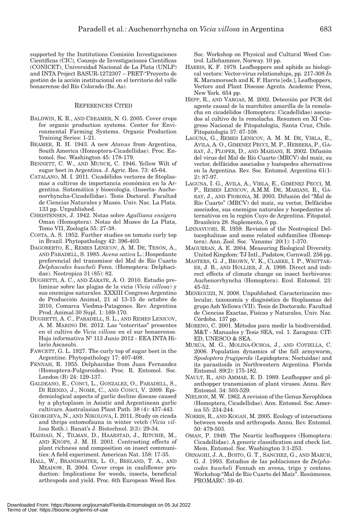supported by the Institutions Comisión Investigaciones Científicas (CIC), Consejo de Investigaciones Científicas (CONICET), Universidad Nacional de La Plata (UNLP) and INTA Project BASUR-1272307 – PRET-"Proyecto de gestión de la acción institucional en el territorio del valle bonaerense del Río Colorado (Bs. As).

## REFERENCES CITED

- BALDWIN, K. R., AND CREAMER, N. G. 2005. Cover crops for organic production systems. Center for Environmental Farming Systems. Organic Production Training Series: 1-21.
- BEAMER, R. H. 1943. A new *Atanus* from Argentina, South America (Homoptera-Cicadellidae). Proc. Entomol. Soc. Washington 45: 178-179.
- BENNETT, C. W., AND MUNCK, C. 1946. Yellow Wilt of sugar beet in Argentina. J. Agric. Res. 73: 45-64.
- CATALANO, M. I. 2011. Cicadélidos vectores de fitoplasmas a cultivos de importancia económica en la Argentina. Sistemática y bioecología. (Insecta- Auchenorrhyncha-Cicadellidae). Tesis Doctoral. Facultad de Ciencias Naturales y Museo. Univ. Nac. La Plata. 133 pp. Unpublished.
- CHRISTENSEN, J. 1942. Notas sobre *Agalliana ensigera*  Oman (Homoptera). Notas del Museo de La Plata, Tomo VII, Zoología 55: 27-38.
- COSTA, A. S. 1952. Further studies on tomato curly top in Brazil. Phytopathology 42: 396-403.
- DAGOBERTO, E., REMES LENICOV, A. M. DE, TESÓN, A., AND PARADELL, S. 1985. *Avena sativa* L.: Hospedante preferencial del transmisor del Mal de Río Cuarto *Delphacodes kuscheli* Fenn. (Homoptera: Delphacidae). Neotropica 31 (85): 82.
- DUGHETTI, A. C., AND ZÁRATE, A. O. 2010. Estudio preliminar sobre las plagas de la vicia (*Vicia villosa*) y sus enemigos naturales. XXXIII Congreso Argentino de Producción Animal, 21 al 13-15 de octubre de 2010, Comarca Viedma-Patagones. Rev. Argentina Prod. Animal 30 Supl. 1: 169-170*.*
- DUGHETTI, A. C., PARADELL, S. L., AND REMES LENICOV, A. M. MARINO DE. 2012. Las "cotorritas" presentes en el cultivo de *Vicia villosa* en el sur bonaerense. Hoja informativa Nº 113 Junio 2012 - EEA INTA Hilario Ascasubi.
- FAWCETT, G. L. 1927. The curly top of sugar beet in the Argentine. Phytopathology 17: 407-408.
- FENNAH, R. 1955. Delphacidae from Juan Fernandez (Homoptera-Fulgoroidea). Proc. R. Entomol. Soc. London (B) 24: 129-137.
- GALDEANO, E., CONCI, L., GONZALEZ, O., PARADELL, S., DI RIENZO, J., NOME, C., AND CONCI, V. 2009. Epidemiological aspects of garlic decline disease caused by a phytoplasm in Asiatic and Argentinean garlic cultivars. Australasian Plant Path. 38 (4): 437-443.
- GEORGIEVA, N., AND NIKOLOVA, I. 2011. Study on cicada and thrips entomofauna in winter vetch (*Vicia villosa* Roth.). Banat's J. Biotechnol. 2(3): 29-34.
- HADDAD, N., TILMAN, D., HAARSTAD, J., RITCHIE, M., AND KNOPS, J. M. H. 2001. Contrasting effects of plant richness and composition on insect communities: A field experiment. American Nat. 158: 17-35.
- HALL, W., BRANDSAETER, L. O., BRELAND, T. A., AND MEADOW, R. 2004. Cover crops in cauliflower production: Implications for weeds, insects, beneficial arthropods and yield. Proc. 6th European Weed Res.

Soc. Workshop on Physical and Cultural Weed Control. Lillehammer, Norway. 10 pp.

- HARRIS, K. F. 1979. Leafhoppers and aphids as biological vectors: Vector-virus relationships, pp. 217-308 *In* K. Maramorosch and K. F. Harris [eds.], Leafhoppers, Vectors and Plant Disease Agents. Academic Press, New York. 654 pp.
- HEPP, R., AND VARGAS, M. 2002. Detección por PCR del agente causal de la marchitez amarilla de la remolacha en cicadélidos (Homoptera: Cicadellidae) asociados al cultivo de la remolacha. Resumen en XI Congreso Nacional de Fitopatología, Santa Cruz, Chile. Fitopatología 37: 67-108.
- LAGUNA, G., REMES LENICOV, A. M. M. DE, VIRLA, E., AVILA, A. O., GIMENEZ PECCI, M. P., HERRERA, P., GA-RAY, J., PLOPER, D., AND MARIANI, R. 2002. Difusión del virus del Mal de Río Cuarto (MRCV) del maíz, su vector, delfácidos asociados y huéspedes alternativos en la Argentina. Rev. Soc. Entomol. Argentina 61(1- 2): 87-97.
- LAGUNA, I. G., AVILA, A., VIRLA, E., GIMÉNEZ PECCI, M. P., REMES LENICOV, A.M.M. DE, MARIANI, R., GA-RAY, J., AND FIORONA, M. 2003. Difusión del "Mal de Río Cuarto" (MRCV) del maíz, su vector, Delfácidos asociados, sus enemigos naturales y hospedantes alternativos en la región Cuyo de Argentina. Fitopatol. Brasileira 28. Suplemento, 5 pp.
- LINNAVUORI, R. 1959. Revision of the Neotropical Deltocephalinae and some related subfamilies (Homoptera). Ann. Zool. Soc. `Vanamo` 20(1): 1-370.
- MAGURRAN, A. E. 2004. Measuring Biological Diversity. United Kingdom: TJ Intl., Padstow, Cornwall. 256 pp.
- MASTERS, G. J., BROWN, V. K., CLARKE, I. P., WHITTAK-ER, J. B., AND HOLLIER, J. A. 1998. Direct and indirect effects of climate change on insect herbivores: Auchenorrhyncha (Homoptera). Ecol. Entomol. 23: 45-52.
- MENEGUZZI, N. 2008. Unpublished. Caracterización molecular, taxonomía y diagnóstico de fitoplasmas del grupo Ash Yellows (VII). Tesis de Doctorado. Facultad de Ciencias Exactas, Físicas y Naturales, Univ. Nac. Córdoba. 137 pp.
- MORENO, C. 2001. Métodos para medir la biodiversidad. M&T - Manuales y Tesis SEA, vol. 1. Zaragoza: CIT-ED, UNESCO & SEA.
- MURÚA, M. G., MOLINA-OCHOA, J., AND COVIELLA, C. 2006. Population dynamics of the fall armyworm, *Spodoptera frugiperda* (Lepidoptera: Noctuidae) and its parasitoids in Northwestern Argentina. Florida Entomol. 89(2): 175-182.
- NAULT, R., AND AMMAR, E. D. 1989. Leafhopper and planthopper transmission of plant viruses. Annu. Rev. Entomol. 34: 503-529.
- NIELSON, M. W. 1962. A revision of the Genus Xerophloea (Homoptera, Cicadellidae). Ann. Entomol. Soc. America 55: 234-244.
- NORRIS, R., AND KOGAN, M. 2005. Ecology of interactions between weeds and arthropods. Annu. Rev. Entomol. 50: 479-503.
- OMAN, P. 1949. The Neartic leafhoppers (Homoptera: Cicadellidae). A generic classification and check list. Mem. Entomol. Soc. Washington 3:1-253.
- ORNAGHI, J. A., BOITO, G. T., SANCHEZ, G., AND MARCH, G. J. 1993. Estudios de las poblaciones de *Delphacodes kuscheli* Fennah en avena, trigo y centeno. Workshop "Mal de Río Cuarto del Maíz". Resúmenes. PROMARC: 39-40.